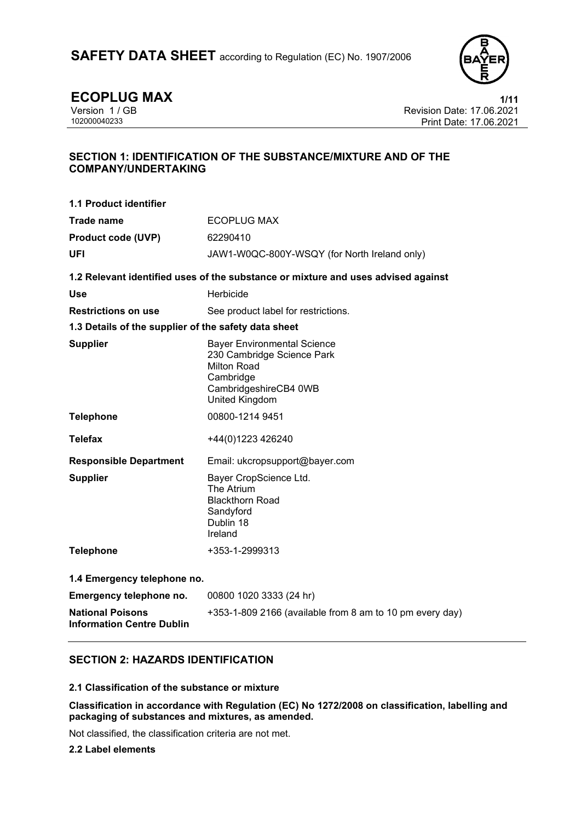

**ECOPLUG MAX** 1/11<br>Version 1 / GB Revision Date: 17.06.2021 Version 1 / GB Revision Date: 17.06.2021 Print Date: 17.06.2021

# **SECTION 1: IDENTIFICATION OF THE SUBSTANCE/MIXTURE AND OF THE COMPANY/UNDERTAKING**

| <b>1.1 Product identifier</b>                               |                                                                                                                                                |  |
|-------------------------------------------------------------|------------------------------------------------------------------------------------------------------------------------------------------------|--|
| Trade name                                                  | <b>ECOPLUG MAX</b>                                                                                                                             |  |
| <b>Product code (UVP)</b>                                   | 62290410                                                                                                                                       |  |
| UFI                                                         | JAW1-W0QC-800Y-WSQY (for North Ireland only)                                                                                                   |  |
|                                                             | 1.2 Relevant identified uses of the substance or mixture and uses advised against                                                              |  |
| <b>Use</b>                                                  | Herbicide                                                                                                                                      |  |
| <b>Restrictions on use</b>                                  | See product label for restrictions.                                                                                                            |  |
| 1.3 Details of the supplier of the safety data sheet        |                                                                                                                                                |  |
| <b>Supplier</b>                                             | <b>Bayer Environmental Science</b><br>230 Cambridge Science Park<br><b>Milton Road</b><br>Cambridge<br>CambridgeshireCB4 0WB<br>United Kingdom |  |
| <b>Telephone</b>                                            | 00800-1214 9451                                                                                                                                |  |
| <b>Telefax</b>                                              | +44(0)1223 426240                                                                                                                              |  |
| <b>Responsible Department</b>                               | Email: ukcropsupport@bayer.com                                                                                                                 |  |
| <b>Supplier</b>                                             | Bayer CropScience Ltd.<br>The Atrium<br><b>Blackthorn Road</b><br>Sandyford<br>Dublin 18<br>Ireland                                            |  |
| <b>Telephone</b>                                            | +353-1-2999313                                                                                                                                 |  |
| 1.4 Emergency telephone no.                                 |                                                                                                                                                |  |
| Emergency telephone no.                                     | 00800 1020 3333 (24 hr)                                                                                                                        |  |
| <b>National Poisons</b><br><b>Information Centre Dublin</b> | +353-1-809 2166 (available from 8 am to 10 pm every day)                                                                                       |  |

# **SECTION 2: HAZARDS IDENTIFICATION**

### **2.1 Classification of the substance or mixture**

**Classification in accordance with Regulation (EC) No 1272/2008 on classification, labelling and packaging of substances and mixtures, as amended.**

Not classified, the classification criteria are not met.

**2.2 Label elements**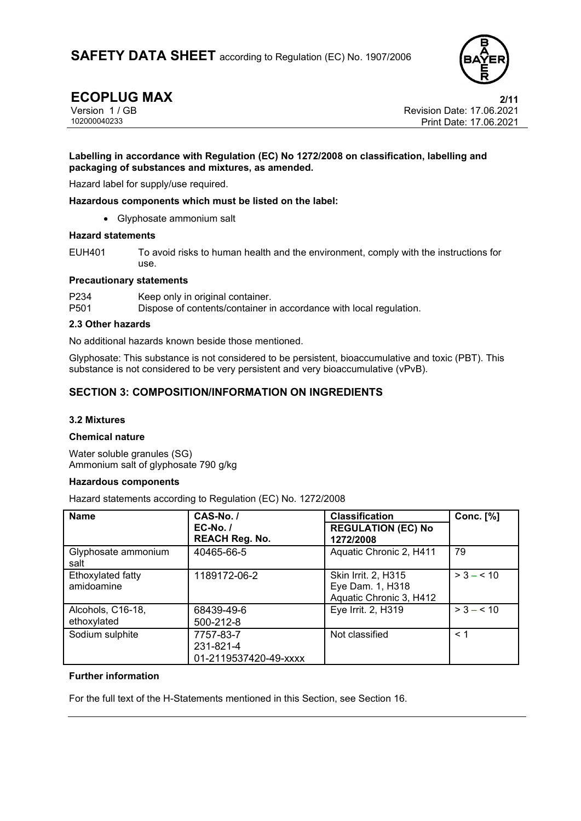

**ECOPLUG MAX** 2/11<br>Version 1 / GB 2021 Version 1 / GB Revision Date: 17.06.2021 Print Date: 17.06.2021

#### **Labelling in accordance with Regulation (EC) No 1272/2008 on classification, labelling and packaging of substances and mixtures, as amended.**

Hazard label for supply/use required.

**Hazardous components which must be listed on the label:**

• Glyphosate ammonium salt

#### **Hazard statements**

EUH401 To avoid risks to human health and the environment, comply with the instructions for use.

#### **Precautionary statements**

P234 Keep only in original container.<br>P501 Dispose of contents/container in Dispose of contents/container in accordance with local regulation.

#### **2.3 Other hazards**

No additional hazards known beside those mentioned.

Glyphosate: This substance is not considered to be persistent, bioaccumulative and toxic (PBT). This substance is not considered to be very persistent and very bioaccumulative (vPvB).

# **SECTION 3: COMPOSITION/INFORMATION ON INGREDIENTS**

#### **3.2 Mixtures**

#### **Chemical nature**

Water soluble granules (SG) Ammonium salt of glyphosate 790 g/kg

#### **Hazardous components**

Hazard statements according to Regulation (EC) No. 1272/2008

| <b>Name</b>                      | CAS-No./<br>$EC-No.$<br><b>REACH Reg. No.</b>   | <b>Classification</b><br><b>REGULATION (EC) No</b><br>1272/2008           | <b>Conc.</b> [%] |
|----------------------------------|-------------------------------------------------|---------------------------------------------------------------------------|------------------|
| Glyphosate ammonium<br>salt      | 40465-66-5                                      | Aquatic Chronic 2, H411                                                   | 79               |
| Ethoxylated fatty<br>amidoamine  | 1189172-06-2                                    | <b>Skin Irrit. 2, H315</b><br>Eye Dam. 1, H318<br>Aquatic Chronic 3, H412 | $> 3 - 510$      |
| Alcohols, C16-18,<br>ethoxylated | 68439-49-6<br>500-212-8                         | Eye Irrit. 2, H319                                                        | $> 3 - 510$      |
| Sodium sulphite                  | 7757-83-7<br>231-821-4<br>01-2119537420-49-xxxx | Not classified                                                            | < 1              |

#### **Further information**

For the full text of the H-Statements mentioned in this Section, see Section 16.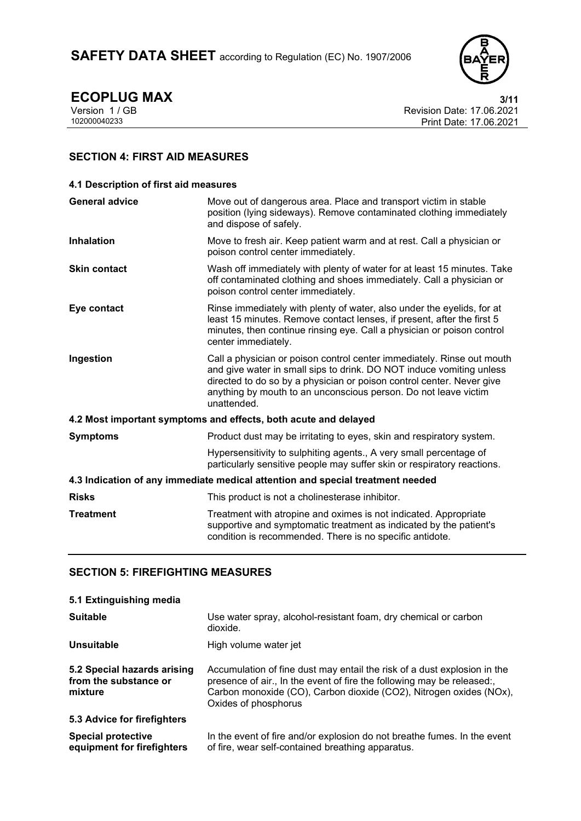SAFETY DATA SHEET according to Regulation (EC) No. 1907/2006



**ECOPLUG MAX** 3/11<br>Version 1 / GB 8/11<br>Revision Date: 17.06.2021 Version 1 / GB Revision Date: 17.06.2021 Print Date: 17.06.2021

# **SECTION 4: FIRST AID MEASURES**

| 4.1 Description of first aid measures                                          |                                                                                                                                                                                                                                                                                                           |  |
|--------------------------------------------------------------------------------|-----------------------------------------------------------------------------------------------------------------------------------------------------------------------------------------------------------------------------------------------------------------------------------------------------------|--|
| <b>General advice</b>                                                          | Move out of dangerous area. Place and transport victim in stable<br>position (lying sideways). Remove contaminated clothing immediately<br>and dispose of safely.                                                                                                                                         |  |
| <b>Inhalation</b>                                                              | Move to fresh air. Keep patient warm and at rest. Call a physician or<br>poison control center immediately.                                                                                                                                                                                               |  |
| <b>Skin contact</b>                                                            | Wash off immediately with plenty of water for at least 15 minutes. Take<br>off contaminated clothing and shoes immediately. Call a physician or<br>poison control center immediately.                                                                                                                     |  |
| Eye contact                                                                    | Rinse immediately with plenty of water, also under the eyelids, for at<br>least 15 minutes. Remove contact lenses, if present, after the first 5<br>minutes, then continue rinsing eye. Call a physician or poison control<br>center immediately.                                                         |  |
| Ingestion                                                                      | Call a physician or poison control center immediately. Rinse out mouth<br>and give water in small sips to drink. DO NOT induce vomiting unless<br>directed to do so by a physician or poison control center. Never give<br>anything by mouth to an unconscious person. Do not leave victim<br>unattended. |  |
|                                                                                | 4.2 Most important symptoms and effects, both acute and delayed                                                                                                                                                                                                                                           |  |
| <b>Symptoms</b>                                                                | Product dust may be irritating to eyes, skin and respiratory system.                                                                                                                                                                                                                                      |  |
|                                                                                | Hypersensitivity to sulphiting agents., A very small percentage of<br>particularly sensitive people may suffer skin or respiratory reactions.                                                                                                                                                             |  |
| 4.3 Indication of any immediate medical attention and special treatment needed |                                                                                                                                                                                                                                                                                                           |  |
| <b>Risks</b>                                                                   | This product is not a cholinesterase inhibitor.                                                                                                                                                                                                                                                           |  |
| <b>Treatment</b>                                                               | Treatment with atropine and oximes is not indicated. Appropriate<br>supportive and symptomatic treatment as indicated by the patient's<br>condition is recommended. There is no specific antidote.                                                                                                        |  |

# **SECTION 5: FIREFIGHTING MEASURES**

| 5.1 Extinguishing media                                         |                                                                                                                                                                                                                                                  |
|-----------------------------------------------------------------|--------------------------------------------------------------------------------------------------------------------------------------------------------------------------------------------------------------------------------------------------|
| <b>Suitable</b>                                                 | Use water spray, alcohol-resistant foam, dry chemical or carbon<br>dioxide.                                                                                                                                                                      |
| Unsuitable                                                      | High volume water jet                                                                                                                                                                                                                            |
| 5.2 Special hazards arising<br>from the substance or<br>mixture | Accumulation of fine dust may entail the risk of a dust explosion in the<br>presence of air., In the event of fire the following may be released:,<br>Carbon monoxide (CO), Carbon dioxide (CO2), Nitrogen oxides (NOx),<br>Oxides of phosphorus |
| 5.3 Advice for firefighters                                     |                                                                                                                                                                                                                                                  |
| <b>Special protective</b><br>equipment for firefighters         | In the event of fire and/or explosion do not breathe fumes. In the event<br>of fire, wear self-contained breathing apparatus.                                                                                                                    |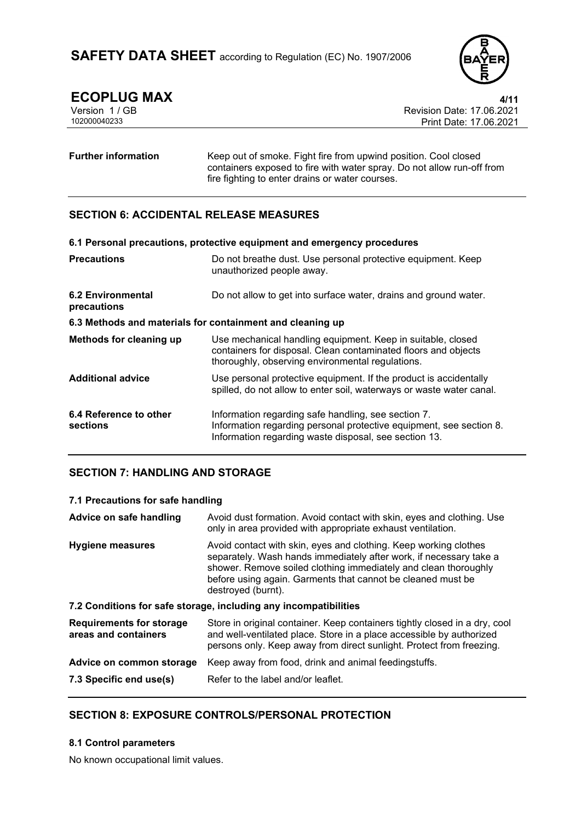

**ECOPLUG MAX** 4/11<br>Version 1 / GB **ALCORY 4/11** Revision Date: 17.06.2021 Version 1 / GB Revision Date: 17.06.2021 Print Date: 17.06.2021

# **Further information** Keep out of smoke. Fight fire from upwind position. Cool closed containers exposed to fire with water spray. Do not allow run-off from fire fighting to enter drains or water courses.

# **SECTION 6: ACCIDENTAL RELEASE MEASURES**

|                                         | 6.1 Personal precautions, protective equipment and emergency procedures                                                                                                             |
|-----------------------------------------|-------------------------------------------------------------------------------------------------------------------------------------------------------------------------------------|
| <b>Precautions</b>                      | Do not breathe dust. Use personal protective equipment. Keep<br>unauthorized people away.                                                                                           |
| <b>6.2 Environmental</b><br>precautions | Do not allow to get into surface water, drains and ground water.                                                                                                                    |
|                                         | 6.3 Methods and materials for containment and cleaning up                                                                                                                           |
| Methods for cleaning up                 | Use mechanical handling equipment. Keep in suitable, closed<br>containers for disposal. Clean contaminated floors and objects<br>thoroughly, observing environmental regulations.   |
| <b>Additional advice</b>                | Use personal protective equipment. If the product is accidentally<br>spilled, do not allow to enter soil, waterways or waste water canal.                                           |
| 6.4 Reference to other<br>sections      | Information regarding safe handling, see section 7.<br>Information regarding personal protective equipment, see section 8.<br>Information regarding waste disposal, see section 13. |

# **SECTION 7: HANDLING AND STORAGE**

#### **7.1 Precautions for safe handling**

| Advice on safe handling                                          | Avoid dust formation. Avoid contact with skin, eyes and clothing. Use<br>only in area provided with appropriate exhaust ventilation.                                                                                                                                                           |  |
|------------------------------------------------------------------|------------------------------------------------------------------------------------------------------------------------------------------------------------------------------------------------------------------------------------------------------------------------------------------------|--|
| <b>Hygiene measures</b>                                          | Avoid contact with skin, eyes and clothing. Keep working clothes<br>separately. Wash hands immediately after work, if necessary take a<br>shower. Remove soiled clothing immediately and clean thoroughly<br>before using again. Garments that cannot be cleaned must be<br>destroyed (burnt). |  |
| 7.2 Conditions for safe storage, including any incompatibilities |                                                                                                                                                                                                                                                                                                |  |
| <b>Requirements for storage</b><br>areas and containers          | Store in original container. Keep containers tightly closed in a dry, cool<br>and well-ventilated place. Store in a place accessible by authorized<br>persons only. Keep away from direct sunlight. Protect from freezing.                                                                     |  |
| Advice on common storage                                         | Keep away from food, drink and animal feedingstuffs.                                                                                                                                                                                                                                           |  |
| 7.3 Specific end use(s)                                          | Refer to the label and/or leaflet.                                                                                                                                                                                                                                                             |  |

# **SECTION 8: EXPOSURE CONTROLS/PERSONAL PROTECTION**

### **8.1 Control parameters**

No known occupational limit values.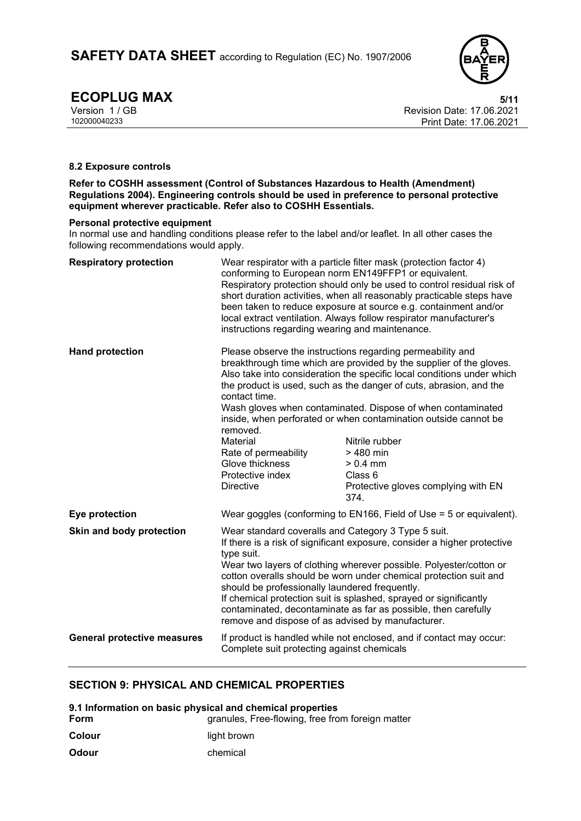

**ECOPLUG MAX** 5/11<br>Version 1 / GB 68/11<br>Revision Date: 17.06.2021 Version 1 / GB Revision Date: 17.06.2021 Print Date: 17.06.2021

#### **8.2 Exposure controls**

**Refer to COSHH assessment (Control of Substances Hazardous to Health (Amendment) Regulations 2004). Engineering controls should be used in preference to personal protective equipment wherever practicable. Refer also to COSHH Essentials.**

#### **Personal protective equipment**

In normal use and handling conditions please refer to the label and/or leaflet. In all other cases the following recommendations would apply.

| <b>Respiratory protection</b>      | instructions regarding wearing and maintenance.                                                                                                                                                                                                                                                                                                                                                                                                                                                                                        | Wear respirator with a particle filter mask (protection factor 4)<br>conforming to European norm EN149FFP1 or equivalent.<br>Respiratory protection should only be used to control residual risk of<br>short duration activities, when all reasonably practicable steps have<br>been taken to reduce exposure at source e.g. containment and/or<br>local extract ventilation. Always follow respirator manufacturer's                                                                                                      |
|------------------------------------|----------------------------------------------------------------------------------------------------------------------------------------------------------------------------------------------------------------------------------------------------------------------------------------------------------------------------------------------------------------------------------------------------------------------------------------------------------------------------------------------------------------------------------------|----------------------------------------------------------------------------------------------------------------------------------------------------------------------------------------------------------------------------------------------------------------------------------------------------------------------------------------------------------------------------------------------------------------------------------------------------------------------------------------------------------------------------|
| <b>Hand protection</b>             | contact time.<br>removed.<br>Material<br>Rate of permeability<br>Glove thickness<br>Protective index<br><b>Directive</b>                                                                                                                                                                                                                                                                                                                                                                                                               | Please observe the instructions regarding permeability and<br>breakthrough time which are provided by the supplier of the gloves.<br>Also take into consideration the specific local conditions under which<br>the product is used, such as the danger of cuts, abrasion, and the<br>Wash gloves when contaminated. Dispose of when contaminated<br>inside, when perforated or when contamination outside cannot be<br>Nitrile rubber<br>> 480 min<br>$> 0.4$ mm<br>Class 6<br>Protective gloves complying with EN<br>374. |
| Eye protection                     |                                                                                                                                                                                                                                                                                                                                                                                                                                                                                                                                        | Wear goggles (conforming to EN166, Field of Use = 5 or equivalent).                                                                                                                                                                                                                                                                                                                                                                                                                                                        |
| Skin and body protection           | Wear standard coveralls and Category 3 Type 5 suit.<br>If there is a risk of significant exposure, consider a higher protective<br>type suit.<br>Wear two layers of clothing wherever possible. Polyester/cotton or<br>cotton overalls should be worn under chemical protection suit and<br>should be professionally laundered frequently.<br>If chemical protection suit is splashed, sprayed or significantly<br>contaminated, decontaminate as far as possible, then carefully<br>remove and dispose of as advised by manufacturer. |                                                                                                                                                                                                                                                                                                                                                                                                                                                                                                                            |
| <b>General protective measures</b> | Complete suit protecting against chemicals                                                                                                                                                                                                                                                                                                                                                                                                                                                                                             | If product is handled while not enclosed, and if contact may occur:                                                                                                                                                                                                                                                                                                                                                                                                                                                        |

### **SECTION 9: PHYSICAL AND CHEMICAL PROPERTIES**

| 9.1 Information on basic physical and chemical properties |                                                  |  |
|-----------------------------------------------------------|--------------------------------------------------|--|
| Form                                                      | granules, Free-flowing, free from foreign matter |  |
| Colour                                                    | light brown                                      |  |
| <b>Odour</b>                                              | chemical                                         |  |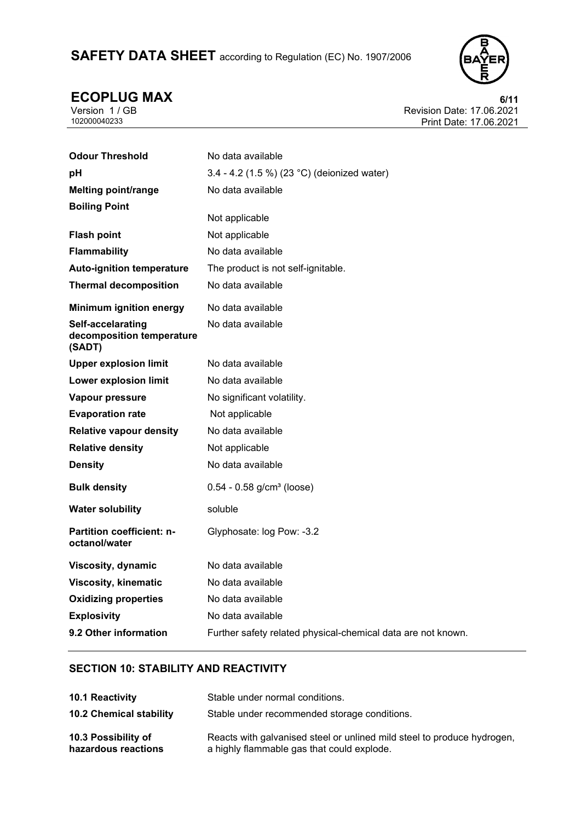# SAFETY DATA SHEET according to Regulation (EC) No. 1907/2006



**ECOPLUG MAX** 6/11<br>
Version 1/GB<br>
102000040233<br>
Frint Date: 17.06.2021<br>
Print Date: 17.06.2021 Revision Date: 17.06.2021 Print Date: 17.06.2021

| <b>Odour Threshold</b>                                   | No data available                                            |
|----------------------------------------------------------|--------------------------------------------------------------|
| pH                                                       | 3.4 - 4.2 (1.5 %) (23 °C) (deionized water)                  |
| <b>Melting point/range</b>                               | No data available                                            |
| <b>Boiling Point</b>                                     |                                                              |
|                                                          | Not applicable                                               |
| <b>Flash point</b>                                       | Not applicable                                               |
| <b>Flammability</b>                                      | No data available                                            |
| <b>Auto-ignition temperature</b>                         | The product is not self-ignitable.                           |
| <b>Thermal decomposition</b>                             | No data available                                            |
| <b>Minimum ignition energy</b>                           | No data available                                            |
| Self-accelarating<br>decomposition temperature<br>(SADT) | No data available                                            |
| <b>Upper explosion limit</b>                             | No data available                                            |
| <b>Lower explosion limit</b>                             | No data available                                            |
| Vapour pressure                                          | No significant volatility.                                   |
| <b>Evaporation rate</b>                                  | Not applicable                                               |
| <b>Relative vapour density</b>                           | No data available                                            |
| <b>Relative density</b>                                  | Not applicable                                               |
| <b>Density</b>                                           | No data available                                            |
| <b>Bulk density</b>                                      | $0.54 - 0.58$ g/cm <sup>3</sup> (loose)                      |
| <b>Water solubility</b>                                  | soluble                                                      |
| <b>Partition coefficient: n-</b><br>octanol/water        | Glyphosate: log Pow: -3.2                                    |
| Viscosity, dynamic                                       | No data available                                            |
| <b>Viscosity, kinematic</b>                              | No data available                                            |
| <b>Oxidizing properties</b>                              | No data available                                            |
| <b>Explosivity</b>                                       | No data available                                            |
| 9.2 Other information                                    | Further safety related physical-chemical data are not known. |

# **SECTION 10: STABILITY AND REACTIVITY**

| 10.1 Reactivity                            | Stable under normal conditions.                                                                                       |
|--------------------------------------------|-----------------------------------------------------------------------------------------------------------------------|
| <b>10.2 Chemical stability</b>             | Stable under recommended storage conditions.                                                                          |
| 10.3 Possibility of<br>hazardous reactions | Reacts with galvanised steel or unlined mild steel to produce hydrogen,<br>a highly flammable gas that could explode. |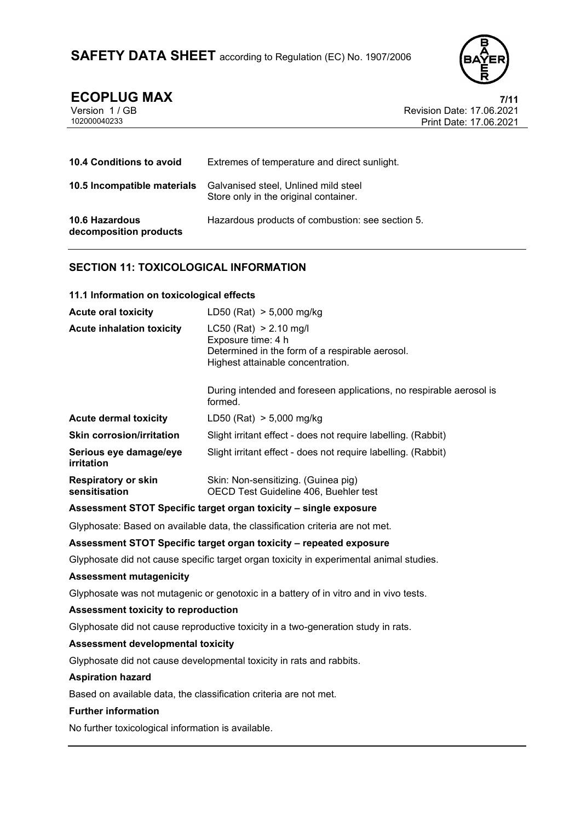

# **ECOPLUG MAX 7/11**

| Version 1/GB |  |
|--------------|--|
| 102000040233 |  |

Revision Date: 17.06.2021 Print Date: 17.06.2021

| <b>10.4 Conditions to avoid</b>                 | Extremes of temperature and direct sunlight.                                  |
|-------------------------------------------------|-------------------------------------------------------------------------------|
| 10.5 Incompatible materials                     | Galvanised steel, Unlined mild steel<br>Store only in the original container. |
| <b>10.6 Hazardous</b><br>decomposition products | Hazardous products of combustion: see section 5.                              |

# **SECTION 11: TOXICOLOGICAL INFORMATION**

**11.1 Information on toxicological effects**

| LD50 (Rat) $> 5,000$ mg/kg                                                                                                             |
|----------------------------------------------------------------------------------------------------------------------------------------|
| $LC50$ (Rat) > 2.10 mg/l<br>Exposure time: 4 h<br>Determined in the form of a respirable aerosol.<br>Highest attainable concentration. |
| During intended and foreseen applications, no respirable aerosol is<br>formed.                                                         |
| LD50 (Rat) $> 5,000$ mg/kg                                                                                                             |
| Slight irritant effect - does not require labelling. (Rabbit)                                                                          |
| Slight irritant effect - does not require labelling. (Rabbit)                                                                          |
| Skin: Non-sensitizing. (Guinea pig)<br>OECD Test Guideline 406, Buehler test                                                           |
|                                                                                                                                        |

### **Assessment STOT Specific target organ toxicity – single exposure**

Glyphosate: Based on available data, the classification criteria are not met.

### **Assessment STOT Specific target organ toxicity – repeated exposure**

Glyphosate did not cause specific target organ toxicity in experimental animal studies.

#### **Assessment mutagenicity**

Glyphosate was not mutagenic or genotoxic in a battery of in vitro and in vivo tests.

#### **Assessment toxicity to reproduction**

Glyphosate did not cause reproductive toxicity in a two-generation study in rats.

#### **Assessment developmental toxicity**

Glyphosate did not cause developmental toxicity in rats and rabbits.

#### **Aspiration hazard**

Based on available data, the classification criteria are not met.

#### **Further information**

No further toxicological information is available.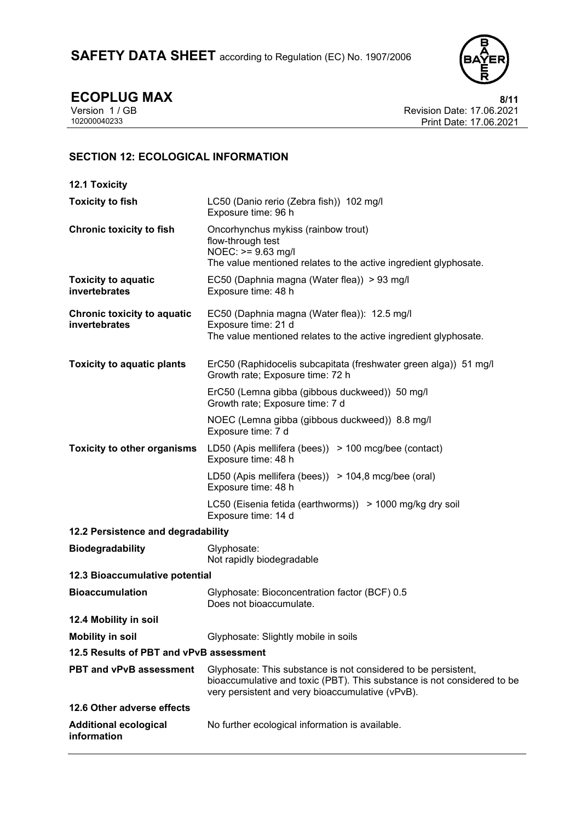

**ECOPLUG MAX** 8/11<br>Version 1 / GB Revision Date: 17.06.2021 Version 1 / GB Revision Date: 17.06.2021 Print Date: 17.06.2021

# **SECTION 12: ECOLOGICAL INFORMATION**

| <b>12.1 Toxicity</b>                                |                                                                                                                                                                                               |  |  |  |
|-----------------------------------------------------|-----------------------------------------------------------------------------------------------------------------------------------------------------------------------------------------------|--|--|--|
| <b>Toxicity to fish</b>                             | LC50 (Danio rerio (Zebra fish)) 102 mg/l<br>Exposure time: 96 h                                                                                                                               |  |  |  |
| <b>Chronic toxicity to fish</b>                     | Oncorhynchus mykiss (rainbow trout)<br>flow-through test<br>$NOEC: \ge 9.63$ mg/l<br>The value mentioned relates to the active ingredient glyphosate.                                         |  |  |  |
| <b>Toxicity to aquatic</b><br>invertebrates         | EC50 (Daphnia magna (Water flea)) > 93 mg/l<br>Exposure time: 48 h                                                                                                                            |  |  |  |
| <b>Chronic toxicity to aquatic</b><br>invertebrates | EC50 (Daphnia magna (Water flea)): 12.5 mg/l<br>Exposure time: 21 d<br>The value mentioned relates to the active ingredient glyphosate.                                                       |  |  |  |
| <b>Toxicity to aquatic plants</b>                   | ErC50 (Raphidocelis subcapitata (freshwater green alga)) 51 mg/l<br>Growth rate; Exposure time: 72 h                                                                                          |  |  |  |
|                                                     | ErC50 (Lemna gibba (gibbous duckweed)) 50 mg/l<br>Growth rate; Exposure time: 7 d                                                                                                             |  |  |  |
|                                                     | NOEC (Lemna gibba (gibbous duckweed)) 8.8 mg/l<br>Exposure time: 7 d                                                                                                                          |  |  |  |
| <b>Toxicity to other organisms</b>                  | LD50 (Apis mellifera (bees)) > 100 mcg/bee (contact)<br>Exposure time: 48 h                                                                                                                   |  |  |  |
|                                                     | LD50 (Apis mellifera (bees)) > 104,8 mcg/bee (oral)<br>Exposure time: 48 h                                                                                                                    |  |  |  |
|                                                     | LC50 (Eisenia fetida (earthworms)) > 1000 mg/kg dry soil<br>Exposure time: 14 d                                                                                                               |  |  |  |
| 12.2 Persistence and degradability                  |                                                                                                                                                                                               |  |  |  |
| <b>Biodegradability</b>                             | Glyphosate:<br>Not rapidly biodegradable                                                                                                                                                      |  |  |  |
| 12.3 Bioaccumulative potential                      |                                                                                                                                                                                               |  |  |  |
| <b>Bioaccumulation</b>                              | Glyphosate: Bioconcentration factor (BCF) 0.5<br>Does not bioaccumulate.                                                                                                                      |  |  |  |
| 12.4 Mobility in soil                               |                                                                                                                                                                                               |  |  |  |
| <b>Mobility in soil</b>                             | Glyphosate: Slightly mobile in soils                                                                                                                                                          |  |  |  |
| 12.5 Results of PBT and vPvB assessment             |                                                                                                                                                                                               |  |  |  |
| <b>PBT and vPvB assessment</b>                      | Glyphosate: This substance is not considered to be persistent,<br>bioaccumulative and toxic (PBT). This substance is not considered to be<br>very persistent and very bioaccumulative (vPvB). |  |  |  |
| 12.6 Other adverse effects                          |                                                                                                                                                                                               |  |  |  |
| <b>Additional ecological</b><br>information         | No further ecological information is available.                                                                                                                                               |  |  |  |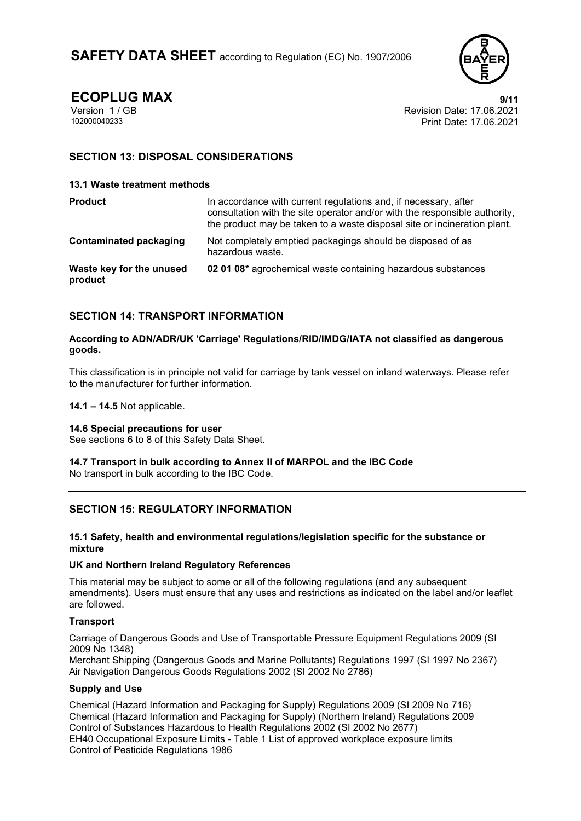

**ECOPLUG MAX** 9/11<br>Version 1 / GB Revision Date: 17.06.2021 Version 1 / GB Revision Date: 17.06.2021 Print Date: 17.06.2021

# **SECTION 13: DISPOSAL CONSIDERATIONS**

#### **13.1 Waste treatment methods**

| <b>Product</b>                      | In accordance with current regulations and, if necessary, after<br>consultation with the site operator and/or with the responsible authority,<br>the product may be taken to a waste disposal site or incineration plant. |
|-------------------------------------|---------------------------------------------------------------------------------------------------------------------------------------------------------------------------------------------------------------------------|
| <b>Contaminated packaging</b>       | Not completely emptied packagings should be disposed of as<br>hazardous waste.                                                                                                                                            |
| Waste key for the unused<br>product | 02 01 08* agrochemical waste containing hazardous substances                                                                                                                                                              |

# **SECTION 14: TRANSPORT INFORMATION**

#### **According to ADN/ADR/UK 'Carriage' Regulations/RID/IMDG/IATA not classified as dangerous goods.**

This classification is in principle not valid for carriage by tank vessel on inland waterways. Please refer to the manufacturer for further information.

**14.1 – 14.5** Not applicable.

#### **14.6 Special precautions for user**

See sections 6 to 8 of this Safety Data Sheet.

#### **14.7 Transport in bulk according to Annex II of MARPOL and the IBC Code** No transport in bulk according to the IBC Code.

# **SECTION 15: REGULATORY INFORMATION**

#### **15.1 Safety, health and environmental regulations/legislation specific for the substance or mixture**

#### **UK and Northern Ireland Regulatory References**

This material may be subject to some or all of the following regulations (and any subsequent amendments). Users must ensure that any uses and restrictions as indicated on the label and/or leaflet are followed.

#### **Transport**

Carriage of Dangerous Goods and Use of Transportable Pressure Equipment Regulations 2009 (SI 2009 No 1348)

Merchant Shipping (Dangerous Goods and Marine Pollutants) Regulations 1997 (SI 1997 No 2367) Air Navigation Dangerous Goods Regulations 2002 (SI 2002 No 2786)

#### **Supply and Use**

Chemical (Hazard Information and Packaging for Supply) Regulations 2009 (SI 2009 No 716) Chemical (Hazard Information and Packaging for Supply) (Northern Ireland) Regulations 2009 Control of Substances Hazardous to Health Regulations 2002 (SI 2002 No 2677) EH40 Occupational Exposure Limits - Table 1 List of approved workplace exposure limits Control of Pesticide Regulations 1986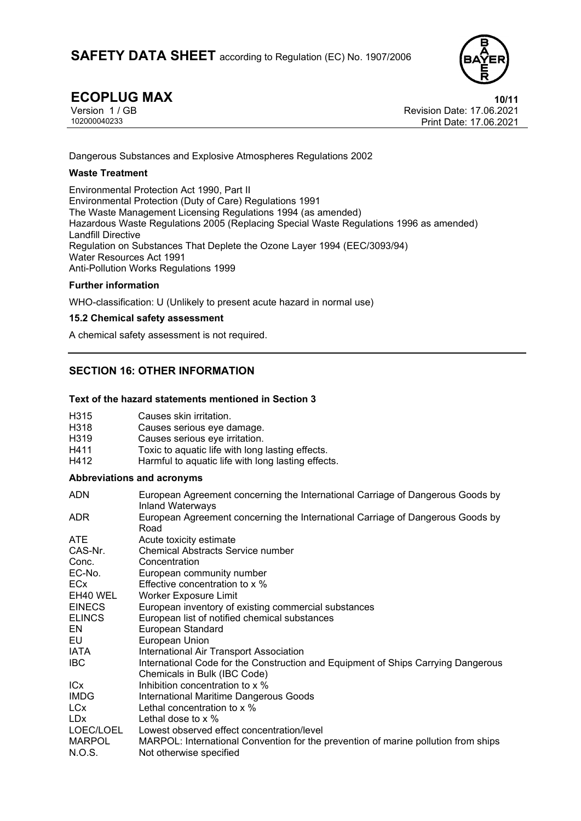

**ECOPLUG MAX** 10/11<br>Version 1 / GB 17.06.2021 Version 1 / GB Revision Date: 17.06.2021 Print Date: 17.06.2021

Dangerous Substances and Explosive Atmospheres Regulations 2002

### **Waste Treatment**

Environmental Protection Act 1990, Part II Environmental Protection (Duty of Care) Regulations 1991 The Waste Management Licensing Regulations 1994 (as amended) Hazardous Waste Regulations 2005 (Replacing Special Waste Regulations 1996 as amended) Landfill Directive Regulation on Substances That Deplete the Ozone Layer 1994 (EEC/3093/94) Water Resources Act 1991 Anti-Pollution Works Regulations 1999

### **Further information**

WHO-classification: U (Unlikely to present acute hazard in normal use)

### **15.2 Chemical safety assessment**

A chemical safety assessment is not required.

# **SECTION 16: OTHER INFORMATION**

### **Text of the hazard statements mentioned in Section 3**

| H315             | Causes skin irritation.                            |
|------------------|----------------------------------------------------|
| H318             | Causes serious eye damage.                         |
| H <sub>319</sub> | Causes serious eye irritation.                     |
| H411             | Toxic to aquatic life with long lasting effects.   |
| H412             | Harmful to aquatic life with long lasting effects. |

#### **Abbreviations and acronyms**

| <b>ADN</b>    | European Agreement concerning the International Carriage of Dangerous Goods by<br><b>Inland Waterways</b> |
|---------------|-----------------------------------------------------------------------------------------------------------|
| ADR.          | European Agreement concerning the International Carriage of Dangerous Goods by<br>Road                    |
| <b>ATE</b>    | Acute toxicity estimate                                                                                   |
| CAS-Nr.       | <b>Chemical Abstracts Service number</b>                                                                  |
| Conc.         | Concentration                                                                                             |
| EC-No.        | European community number                                                                                 |
| <b>ECx</b>    | Effective concentration to x %                                                                            |
| EH40 WEL      | <b>Worker Exposure Limit</b>                                                                              |
| <b>EINECS</b> | European inventory of existing commercial substances                                                      |
| <b>ELINCS</b> | European list of notified chemical substances                                                             |
| EN            | European Standard                                                                                         |
| EU.           | European Union                                                                                            |
| IATA          | International Air Transport Association                                                                   |
| IBC.          | International Code for the Construction and Equipment of Ships Carrying Dangerous                         |
|               | Chemicals in Bulk (IBC Code)                                                                              |
| <b>ICx</b>    | Inhibition concentration to x %                                                                           |
| <b>IMDG</b>   | International Maritime Dangerous Goods                                                                    |
| <b>LCx</b>    | Lethal concentration to x %                                                                               |
| LDx           | Lethal dose to x %                                                                                        |
| LOEC/LOEL     | Lowest observed effect concentration/level                                                                |
| <b>MARPOL</b> | MARPOL: International Convention for the prevention of marine pollution from ships                        |
| N.O.S.        | Not otherwise specified                                                                                   |